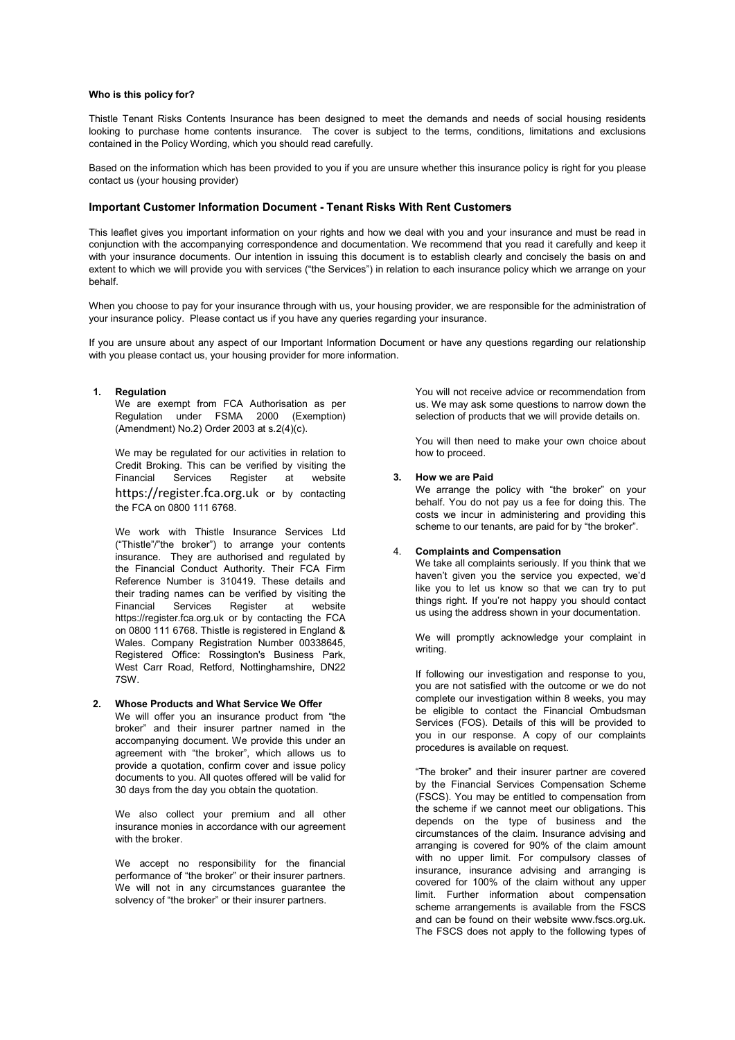### **Who is this policy for?**

Thistle Tenant Risks Contents Insurance has been designed to meet the demands and needs of social housing residents looking to purchase home contents insurance. The cover is subject to the terms, conditions, limitations and exclusions contained in the Policy Wording, which you should read carefully.

Based on the information which has been provided to you if you are unsure whether this insurance policy is right for you please contact us (your housing provider)

### **Important Customer Information Document - Tenant Risks With Rent Customers**

This leaflet gives you important information on your rights and how we deal with you and your insurance and must be read in conjunction with the accompanying correspondence and documentation. We recommend that you read it carefully and keep it with your insurance documents. Our intention in issuing this document is to establish clearly and concisely the basis on and extent to which we will provide you with services ("the Services") in relation to each insurance policy which we arrange on your behalf.

When you choose to pay for your insurance through with us, your housing provider, we are responsible for the administration of your insurance policy. Please contact us if you have any queries regarding your insurance.

If you are unsure about any aspect of our Important Information Document or have any questions regarding our relationship with you please contact us, your housing provider for more information.

#### **1. Regulation**

We are exempt from FCA Authorisation as per Regulation under FSMA 2000 (Exemption) (Amendment) No.2) Order 2003 at s.2(4)(c).

We may be regulated for our activities in relation to Credit Broking. This can be verified by visiting the<br>Financial Services Register at website Register at [https://register.fca.org.uk](https://register.fca.org.uk/) or by contacting the FCA on 0800 111 6768.

We work with Thistle Insurance Services Ltd ("Thistle"/"the broker") to arrange your contents insurance. They are authorised and regulated by the Financial Conduct Authority. Their FCA Firm Reference Number is 310419. These details and their trading names can be verified by visiting the Financial Services Register at website https://register.fca.org.uk or by contacting the FCA on 0800 111 6768. Thistle is registered in England & Wales. Company Registration Number 00338645, Registered Office: Rossington's Business Park, West Carr Road, Retford, Nottinghamshire, DN22 7SW.

#### **2. Whose Products and What Service We Offer**

We will offer you an insurance product from "the broker" and their insurer partner named in the accompanying document. We provide this under an agreement with "the broker", which allows us to provide a quotation, confirm cover and issue policy documents to you. All quotes offered will be valid for 30 days from the day you obtain the quotation.

We also collect your premium and all other insurance monies in accordance with our agreement with the broker.

We accept no responsibility for the financial performance of "the broker" or their insurer partners. We will not in any circumstances quarantee the solvency of "the broker" or their insurer partners.

You will not receive advice or recommendation from us. We may ask some questions to narrow down the selection of products that we will provide details on.

You will then need to make your own choice about how to proceed.

### **3. How we are Paid**

We arrange the policy with "the broker" on your behalf. You do not pay us a fee for doing this. The costs we incur in administering and providing this scheme to our tenants, are paid for by "the broker".

## 4. **Complaints and Compensation**

We take all complaints seriously. If you think that we haven't given you the service you expected, we'd like you to let us know so that we can try to put things right. If you're not happy you should contact us using the address shown in your documentation.

We will promptly acknowledge your complaint in writing.

If following our investigation and response to you, you are not satisfied with the outcome or we do not complete our investigation within 8 weeks, you may be eligible to contact the Financial Ombudsman Services (FOS). Details of this will be provided to you in our response. A copy of our complaints procedures is available on request.

"The broker" and their insurer partner are covered by the Financial Services Compensation Scheme (FSCS). You may be entitled to compensation from the scheme if we cannot meet our obligations. This depends on the type of business and the circumstances of the claim. Insurance advising and arranging is covered for 90% of the claim amount with no upper limit. For compulsory classes of insurance, insurance advising and arranging is covered for 100% of the claim without any upper limit. Further information about compensation scheme arrangements is available from the FSCS and can be found on their website www.fscs.org.uk. The FSCS does not apply to the following types of